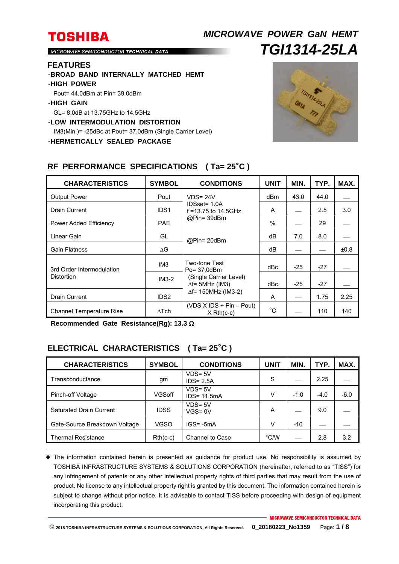# **TOSHIBA** *MICROWAVE POWER GaN HEMT TGI1314-25LA*

MICROWAVE SEMICONDUCTOR TECHNICAL DATA

#### **FEATURES**

- ・**BROAD BAND INTERNALLY MATCHED HEMT**
- ・**HIGH POWER**
- Pout= 44.0dBm at Pin= 39.0dBm

### ・**HIGH GAIN**

GL= 8.0dB at 13.75GHz to 14.5GHz

・**LOW INTERMODULATION DISTORTION** 

IM3(Min.)= -25dBc at Pout= 37.0dBm (Single Carrier Level)

・**HERMETICALLY SEALED PACKAGE** 



#### CHARACTERISTICS SYMBOL CONDITIONS UNIT MIN. TYP. MAX. Output Power **Pout Pout Pout Pout Power** IDSset= 1.0A Drain Current  $\vert$  IDS1 | f = 13.75 to 14.5GHz  $\vert$  A |  $\vert$  2.5 | 3.0 @Pin= 39dBm dBm  $\vert$  43.0  $\vert$  44.0 Power Added Efficiency  $P = \begin{bmatrix} 29 & 29 \\ 29 & 29 \end{bmatrix}$ Linear Gain GL  $\begin{array}{|c|c|c|c|c|}\hline \text{Linear Gain} & \text{8.0} & \text{--} \ \hline \end{array}$  GL  $\begin{array}{|c|c|c|c|c|}\hline \text{QPin= 20dBm} & \begin{array}{|c|c|c|c|}\hline \text{dB} & \text{7.0} & \text{8.0} \ \hline \end{array}$ Gain Flatness  $\overline{a}$   $\overline{b}$   $\overline{c}$   $\overline{d}$   $\overline{d}$   $\overline{b}$   $\overline{d}$   $\overline{b}$   $\overline{d}$   $\overline{b}$   $\overline{d}$   $\overline{b}$   $\overline{d}$   $\overline{b}$   $\overline{d}$   $\overline{b}$   $\overline{d}$   $\overline{b}$   $\overline{d}$   $\overline{b}$   $\overline{d}$   $\overline{b}$   $\overline{d}$  3rd Order Intermodulation Distortion  $IM3$  Two-tone Test Po= 37.0dBm (Single Carrier Level)  $\Delta f$ = 5MHz (IM3)  $\Delta f$ = 150MHz (IM3-2) dBc  $-25$   $-27$ IM3-2 dBc  $-25$   $-27$ Drain Current IDS2 A 1.75 2.25 Channel Temperature Rise  $\Delta Tch$  (VDS X IDS + Pin – Pout) X Rth(c-c) °C 110 140

### **RF PERFORMANCE SPECIFICATIONS ( Ta= 25**°**C )**

**Recommended Gate Resistance(Rg): 13.3** 

### **ELECTRICAL CHARACTERISTICS ( Ta= 25**°**C )**

| <b>CHARACTERISTICS</b>         | <b>SYMBOL</b> | <b>CONDITIONS</b>            | <b>UNIT</b>   | MIN.   | TYP.   | MAX.   |
|--------------------------------|---------------|------------------------------|---------------|--------|--------|--------|
| Transconductance               | gm            | VDS= 5V<br>$IDS = 2.5A$      | S             |        | 2.25   |        |
| Pinch-off Voltage              | <b>VGSoff</b> | $VDS = 5V$<br>$IDS = 11.5mA$ | V             | $-1.0$ | $-4.0$ | $-6.0$ |
| <b>Saturated Drain Current</b> | <b>IDSS</b>   | VDS= 5V<br>VGS=0V            | A             |        | 9.0    |        |
| Gate-Source Breakdown Voltage  | <b>VGSO</b>   | $IGS = -5mA$                 | v             | $-10$  |        |        |
| <b>Thermal Resistance</b>      | $Rth(c-c)$    | <b>Channel to Case</b>       | $\degree$ C/W |        | 2.8    | 3.2    |

 The information contained herein is presented as guidance for product use. No responsibility is assumed by TOSHIBA INFRASTRUCTURE SYSTEMS & SOLUTIONS CORPORATION (hereinafter, referred to as "TISS") for any infringement of patents or any other intellectual property rights of third parties that may result from the use of product. No license to any intellectual property right is granted by this document. The information contained herein is subject to change without prior notice. It is advisable to contact TISS before proceeding with design of equipment incorporating this product.

**© 2018 TOSHIBA INFRASTRUCTURE SYSTEMS & SOLUTIONS CORPORATION, All Rights Reserved. 0\_20180223\_No1359** Page: **1 / 8**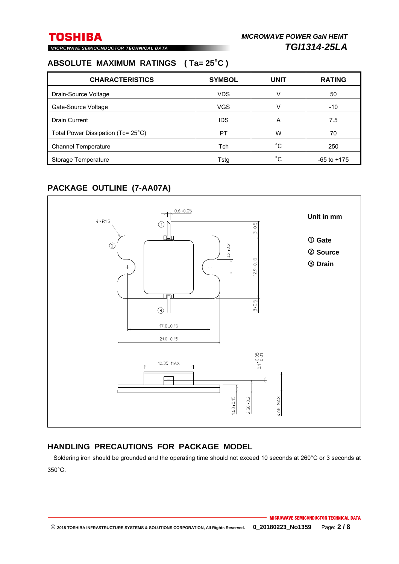MICROWAVE SEMICONDUCTOR TECHNICAL DATA

# **ABSOLUTE MAXIMUM RATINGS ( Ta= 25**°**C )**

| <b>CHARACTERISTICS</b>             | <b>SYMBOL</b> | <b>UNIT</b> | <b>RATING</b>   |
|------------------------------------|---------------|-------------|-----------------|
| Drain-Source Voltage               | <b>VDS</b>    |             | 50              |
| Gate-Source Voltage                | <b>VGS</b>    |             | $-10$           |
| <b>Drain Current</b>               | <b>IDS</b>    | A           | 7.5             |
| Total Power Dissipation (Tc= 25°C) | PT            | W           | 70              |
| <b>Channel Temperature</b>         | Tch           | $^{\circ}C$ | 250             |
| Storage Temperature                | Tstg          | °C.         | $-65$ to $+175$ |

# **PACKAGE OUTLINE (7-AA07A)**



### **HANDLING PRECAUTIONS FOR PACKAGE MODEL**

Soldering iron should be grounded and the operating time should not exceed 10 seconds at 260°C or 3 seconds at 350°C.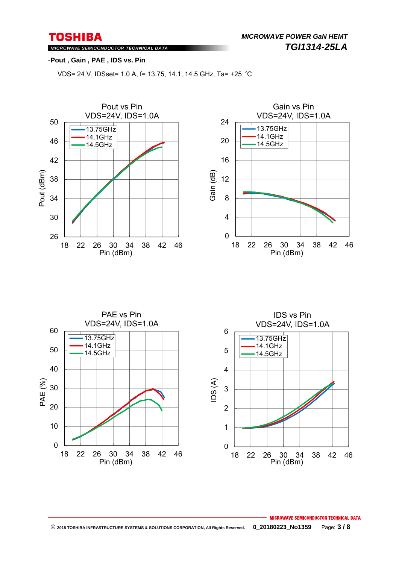*MICROWAVE POWER GaN HEMT TGI1314-25LA* 

### MICROWAVE SEMICONDUCTOR TECHNICAL DATA

### ・**Pout , Gain , PAE , IDS vs. Pin**

VDS= 24 V, IDSset= 1.0 A, f= 13.75, 14.1, 14.5 GHz, Ta= +25 ℃







### **MICROWAVE SEMICONDUCTOR TECHNICAL DATA © 2018 TOSHIBA INFRASTRUCTURE SYSTEMS & SOLUTIONS CORPORATION, All Rights Reserved. 0\_20180223\_No1359** Page: **3 / 8**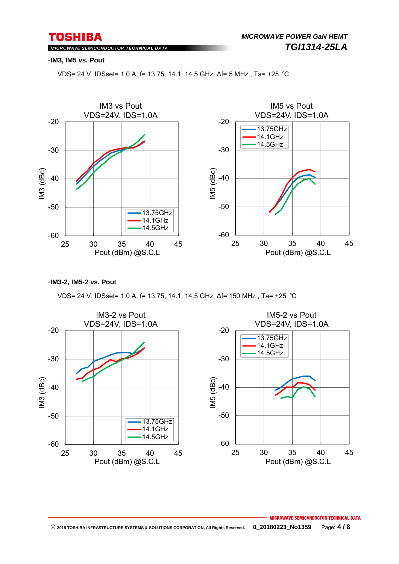MICROWAVE SEMICONDUCTOR TECHNICAL DATA

#### ・**IM3, IM5 vs. Pout**

VDS= 24 V, IDSset= 1.0 A, f= 13.75, 14.1, 14.5 GHz, ∆f= 5 MHz , Ta= +25 ℃



・**IM3-2, IM5-2 vs. Pout**

VDS= 24 V, IDSset= 1.0 A, f= 13.75, 14.1, 14.5 GHz, ∆f= 150 MHz , Ta= +25 ℃

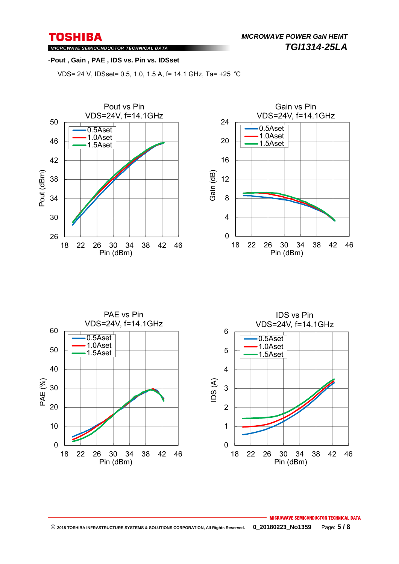*MICROWAVE POWER GaN HEMT TGI1314-25LA* 

MICROWAVE SEMICONDUCTOR TECHNICAL DATA

#### ・**Pout , Gain , PAE , IDS vs. Pin vs. IDSset**

VDS= 24 V, IDSset= 0.5, 1.0, 1.5 A, f= 14.1 GHz, Ta= +25 ℃







### MICROWAVE SEMICONDUCTOR TECHNICAL DATA  **© 2018 TOSHIBA INFRASTRUCTURE SYSTEMS & SOLUTIONS CORPORATION, All Rights Reserved. 0\_20180223\_No1359** Page: **5 / 8**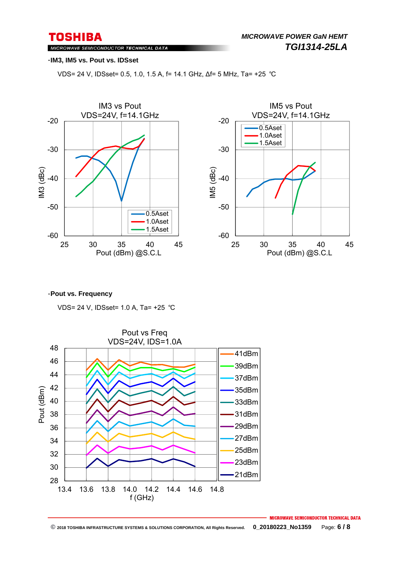MICROWAVE SEMICONDUCTOR TECHNICAL DATA

#### ・**IM3, IM5 vs. Pout vs. IDSset**

VDS= 24 V, IDSset= 0.5, 1.0, 1.5 A, f= 14.1 GHz, ∆f= 5 MHz, Ta= +25 ℃





#### ・**Pout vs. Frequency**

VDS= 24 V, IDSset= 1.0 A, Ta= +25 ℃



**MICROWAVE SEMICONDUCTOR TECHNICAL DATA**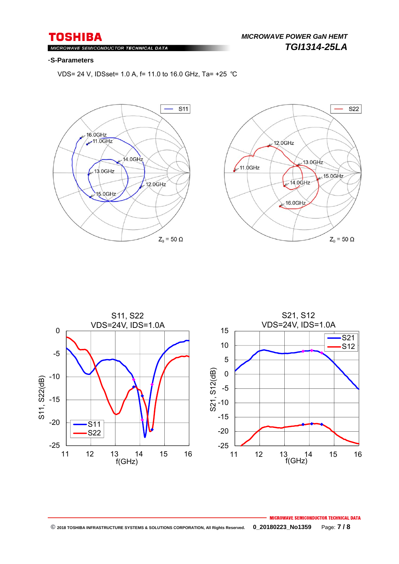### MICROWAVE SEMICONDUCTOR TECHNICAL DATA

#### ・**S-Parameters**

VDS= 24 V, IDSset= 1.0 A, f= 11.0 to 16.0 GHz, Ta= +25 ℃







### **MICROWAVE SEMICONDUCTOR TECHNICAL DATA © 2018 TOSHIBA INFRASTRUCTURE SYSTEMS & SOLUTIONS CORPORATION, All Rights Reserved. 0\_20180223\_No1359** Page: **7 / 8**